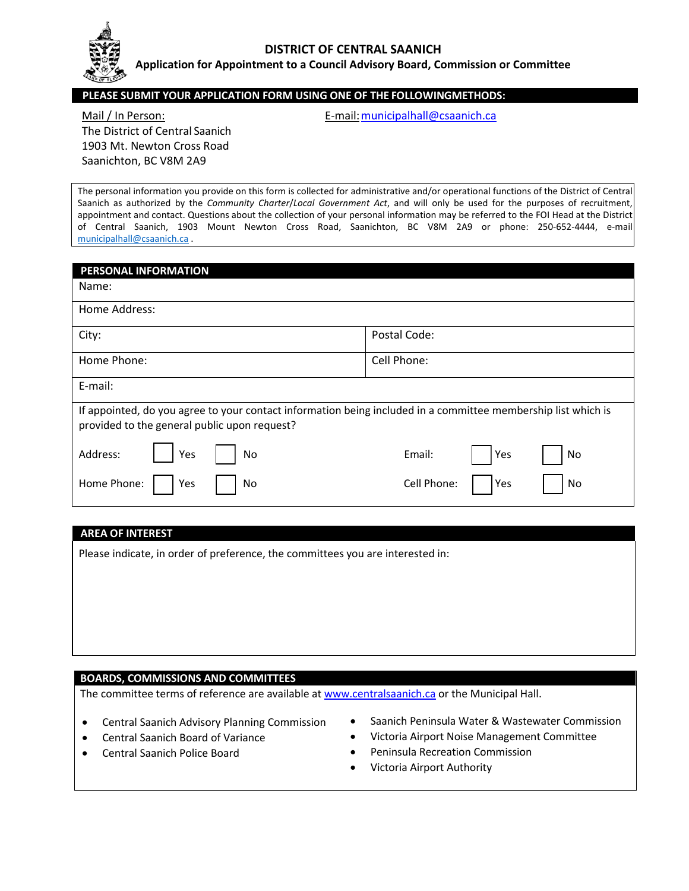

#### **DISTRICT OF CENTRAL SAANICH**

**Application for Appointment to a Council Advisory Board, Commission or Committee**

### **PLEASE SUBMIT YOUR APPLICATION FORM USING ONE OF THE FOLLOWINGMETHODS:**

# The District of Central Saanich 1903 Mt. Newton Cross Road Saanichton, BC V8M 2A9

Mail / In Person: The Contract of the E-mail: municipalhall@csaanich.ca

The personal information you provide on this form is collected for administrative and/or operational functions of the District of Central Saanich as authorized by the *Community Charter*/*Local Government Act*, and will only be used for the purposes of recruitment, appointment and contact. Questions about the collection of your personal information may be referred to the FOI Head at the District of Central Saanich, 1903 Mount Newton Cross Road, Saanichton, BC V8M 2A9 or phone: 250-652-4444, e-mail [municipalhall@csaanich.ca](mailto:municipalhall@csaanich.ca) .

| <b>PERSONAL INFORMATION</b>                                                                                                                                   |                          |
|---------------------------------------------------------------------------------------------------------------------------------------------------------------|--------------------------|
| Name:                                                                                                                                                         |                          |
| Home Address:                                                                                                                                                 |                          |
| City:                                                                                                                                                         | Postal Code:             |
| Home Phone:                                                                                                                                                   | Cell Phone:              |
| E-mail:                                                                                                                                                       |                          |
| If appointed, do you agree to your contact information being included in a committee membership list which is<br>provided to the general public upon request? |                          |
| Address:<br>Yes<br>No                                                                                                                                         | Email:<br>No<br>Yes      |
| Home Phone:<br>Yes<br>No                                                                                                                                      | Cell Phone:<br>No<br>Yes |

### **AREA OF INTEREST**

Please indicate, in order of preference, the committees you are interested in:

#### **BOARDS, COMMISSIONS AND COMMITTEES**

The committee terms of reference are available at [www.centralsaanich.ca](http://www.centralsaanich.ca/) or the Municipal Hall.

- Central Saanich Advisory Planning Commission
- Central Saanich Board of Variance
- Central Saanich Police Board
- Saanich Peninsula Water & Wastewater Commission
- Victoria Airport Noise Management Committee
- Peninsula Recreation Commission
- Victoria Airport Authority